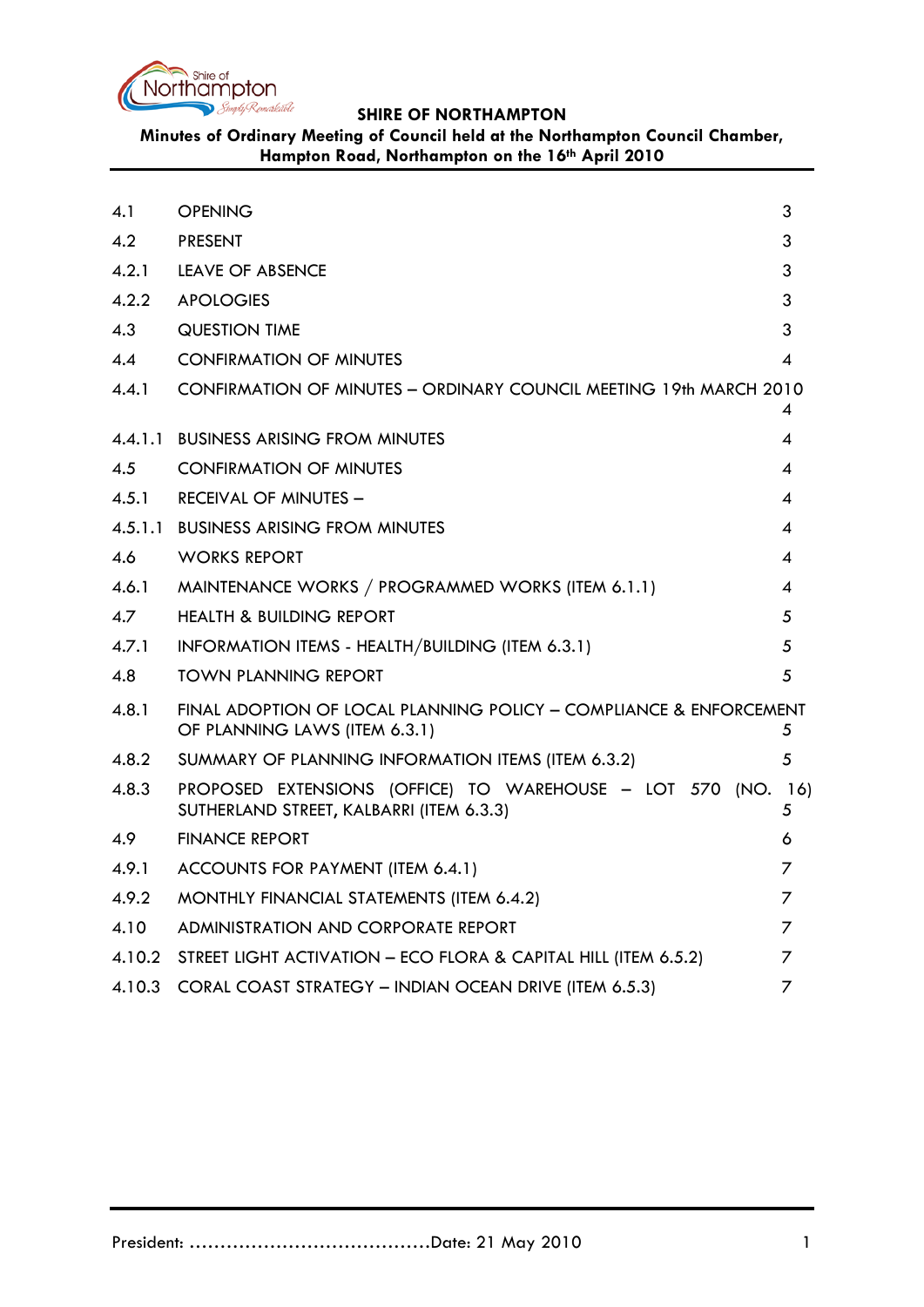

# **Minutes of Ordinary Meeting of Council held at the Northampton Council Chamber, Hampton Road, Northampton on the 16th April 2010**

<span id="page-0-0"></span>

| 4.1     | <b>OPENING</b>                                                                                       | 3        |
|---------|------------------------------------------------------------------------------------------------------|----------|
| 4.2     | <b>PRESENT</b>                                                                                       | 3        |
| 4.2.1   | LEAVE OF ABSENCE                                                                                     | 3        |
| 4.2.2   | <b>APOLOGIES</b>                                                                                     | 3        |
| 4.3     | QUESTION TIME                                                                                        | 3        |
| 4.4     | <b>CONFIRMATION OF MINUTES</b>                                                                       | 4        |
| 4.4.1   | CONFIRMATION OF MINUTES - ORDINARY COUNCIL MEETING 19th MARCH 2010                                   |          |
|         |                                                                                                      | 4        |
| 4.4.1.1 | <b>BUSINESS ARISING FROM MINUTES</b>                                                                 | 4        |
| 4.5     | <b>CONFIRMATION OF MINUTES</b>                                                                       | 4        |
| 4.5.1   | <b>RECEIVAL OF MINUTES -</b>                                                                         | 4        |
|         | 4.5.1.1 BUSINESS ARISING FROM MINUTES                                                                | 4        |
| 4.6     | WORKS REPORT                                                                                         | 4        |
| 4.6.1   | MAINTENANCE WORKS / PROGRAMMED WORKS (ITEM 6.1.1)                                                    | 4        |
| 4.7     | <b>HEALTH &amp; BUILDING REPORT</b>                                                                  | 5        |
| 4.7.1   | INFORMATION ITEMS - HEALTH/BUILDING (ITEM 6.3.1)                                                     | 5        |
| 4.8     | <b>TOWN PLANNING REPORT</b>                                                                          | 5        |
| 4.8.1   | FINAL ADOPTION OF LOCAL PLANNING POLICY - COMPLIANCE & ENFORCEMENT<br>OF PLANNING LAWS (ITEM 6.3.1)  | 5        |
| 4.8.2   | SUMMARY OF PLANNING INFORMATION ITEMS (ITEM 6.3.2)                                                   | 5        |
| 4.8.3   | PROPOSED EXTENSIONS (OFFICE) TO WAREHOUSE - LOT 570 (NO.<br>SUTHERLAND STREET, KALBARRI (ITEM 6.3.3) | 16)<br>5 |
| 4.9     | <b>FINANCE REPORT</b>                                                                                | 6        |
| 4.9.1   | ACCOUNTS FOR PAYMENT (ITEM 6.4.1)                                                                    | 7        |
| 4.9.2   | MONTHLY FINANCIAL STATEMENTS (ITEM 6.4.2)                                                            | 7        |
| 4.10    | ADMINISTRATION AND CORPORATE REPORT                                                                  | 7        |
| 4.10.2  | STREET LIGHT ACTIVATION - ECO FLORA & CAPITAL HILL (ITEM 6.5.2)                                      | 7        |
| 4.10.3  | CORAL COAST STRATEGY - INDIAN OCEAN DRIVE (ITEM 6.5.3)                                               | 7        |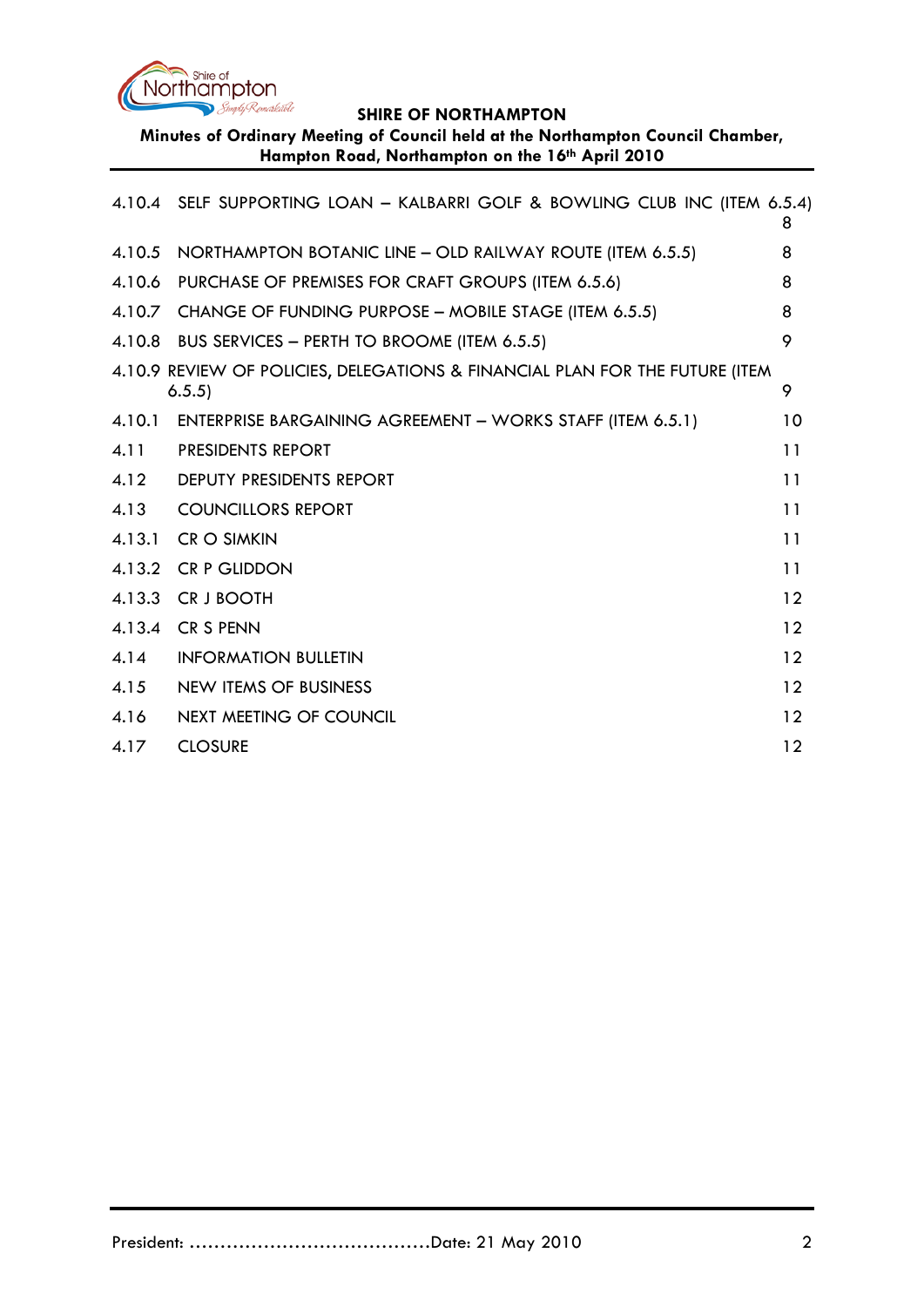

**Minutes of Ordinary Meeting of Council held at the Northampton Council Chamber, Hampton Road, Northampton on the 16th April 2010**

|        | 4.10.4 SELF SUPPORTING LOAN - KALBARRI GOLF & BOWLING CLUB INC (ITEM 6.5.4)            | 8  |
|--------|----------------------------------------------------------------------------------------|----|
| 4.10.5 | NORTHAMPTON BOTANIC LINE - OLD RAILWAY ROUTE (ITEM 6.5.5)                              | 8  |
| 4.10.6 | PURCHASE OF PREMISES FOR CRAFT GROUPS (ITEM 6.5.6)                                     | 8  |
| 4.10.7 | CHANGE OF FUNDING PURPOSE - MOBILE STAGE (ITEM 6.5.5)                                  | 8  |
|        | 4.10.8 BUS SERVICES - PERTH TO BROOME (ITEM 6.5.5)                                     | 9  |
|        | 4.10.9 REVIEW OF POLICIES, DELEGATIONS & FINANCIAL PLAN FOR THE FUTURE (ITEM<br>6.5.5) | 9  |
| 4.10.1 | ENTERPRISE BARGAINING AGREEMENT - WORKS STAFF (ITEM 6.5.1)                             | 10 |
| 4.11   | <b>PRESIDENTS REPORT</b>                                                               | 11 |
| 4.12   | <b>DEPUTY PRESIDENTS REPORT</b>                                                        | 11 |
| 4.13   | <b>COUNCILLORS REPORT</b>                                                              | 11 |
| 4.13.1 | <b>CR O SIMKIN</b>                                                                     | 11 |
| 4.13.2 | <b>CR P GLIDDON</b>                                                                    | 11 |
| 4.13.3 | CR J BOOTH                                                                             | 12 |
| 4.13.4 | <b>CR S PENN</b>                                                                       | 12 |
| 4.14   | <b>INFORMATION BULLETIN</b>                                                            | 12 |
| 4.15   | <b>NEW ITEMS OF BUSINESS</b>                                                           | 12 |
| 4.16   | NEXT MEETING OF COUNCIL                                                                | 12 |
| 4.17   | <b>CLOSURE</b>                                                                         | 12 |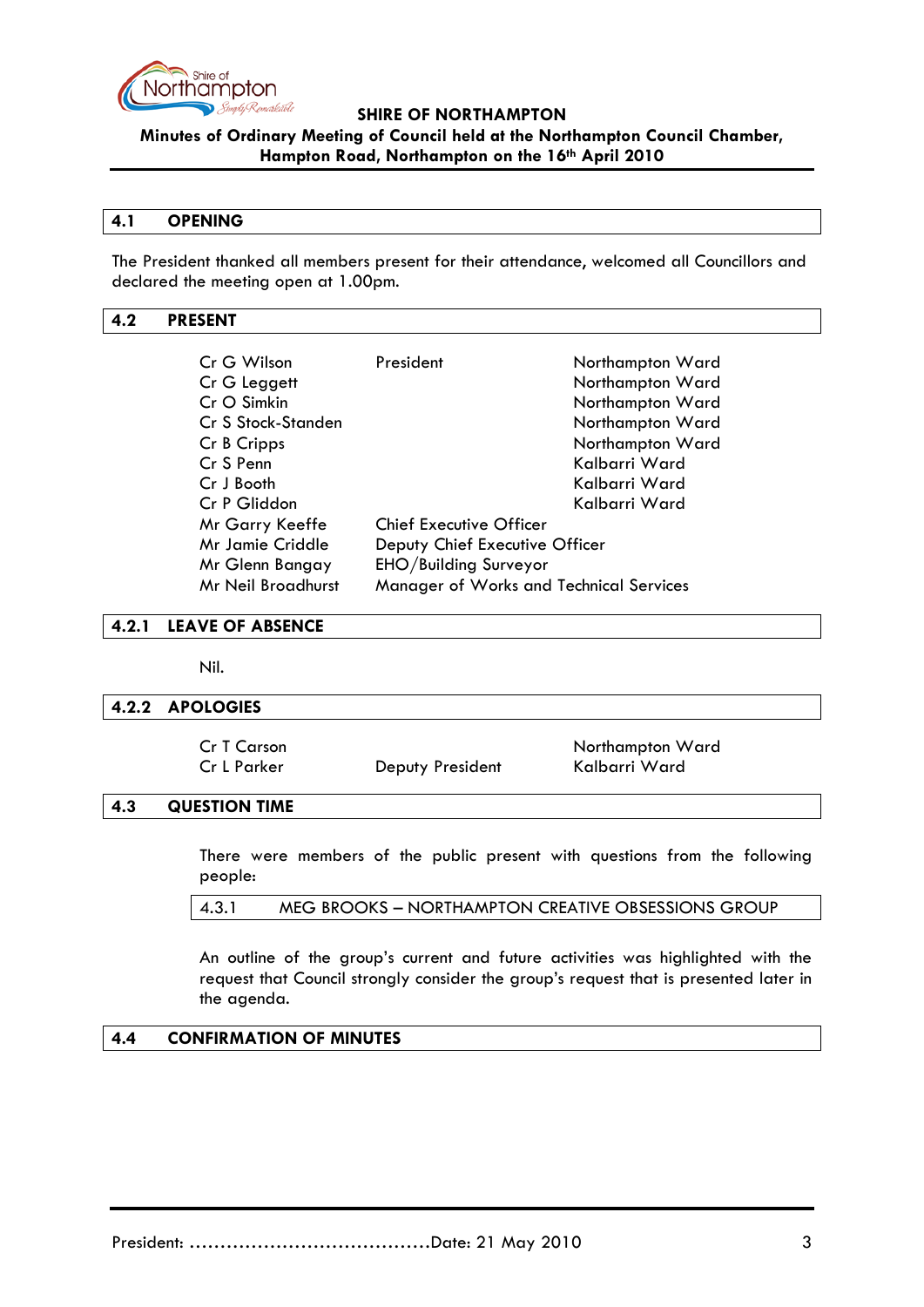

**Minutes of Ordinary Meeting of Council held at the Northampton Council Chamber, Hampton Road, Northampton on the 16th April 2010**

#### **4.1 OPENING**

The President thanked all members present for their attendance, welcomed all Councillors and declared the meeting open at 1.00pm.

### <span id="page-2-0"></span>**4.2 PRESENT**

| Cr G Wilson                                                   | President                      | Northampton Ward |
|---------------------------------------------------------------|--------------------------------|------------------|
| Cr G Leggett                                                  |                                | Northampton Ward |
| Cr O Simkin                                                   |                                | Northampton Ward |
| Cr S Stock-Standen                                            |                                | Northampton Ward |
| Cr B Cripps                                                   |                                | Northampton Ward |
| Cr S Penn                                                     |                                | Kalbarri Ward    |
| Cr J Booth                                                    |                                | Kalbarri Ward    |
| Cr P Gliddon                                                  |                                | Kalbarri Ward    |
| Mr Garry Keeffe                                               | <b>Chief Executive Officer</b> |                  |
| Mr Jamie Criddle                                              | Deputy Chief Executive Officer |                  |
| EHO/Building Surveyor<br>Mr Glenn Bangay                      |                                |                  |
| Mr Neil Broadhurst<br>Manager of Works and Technical Services |                                |                  |

#### <span id="page-2-1"></span>**4.2.1 LEAVE OF ABSENCE**

Nil.

#### <span id="page-2-2"></span>**4.2.2 APOLOGIES**

| Cr T Carson |                  | Northampton Ward |
|-------------|------------------|------------------|
| Cr L Parker | Deputy President | Kalbarri Ward    |

### <span id="page-2-3"></span>**4.3 QUESTION TIME**

There were members of the public present with questions from the following people:

|  | 4.3.1 | MEG BROOKS - NORTHAMPTON CREATIVE OBSESSIONS GROUP |
|--|-------|----------------------------------------------------|
|--|-------|----------------------------------------------------|

An outline of the group's current and future activities was highlighted with the request that Council strongly consider the group's request that is presented later in the agenda.

### <span id="page-2-4"></span>**4.4 CONFIRMATION OF MINUTES**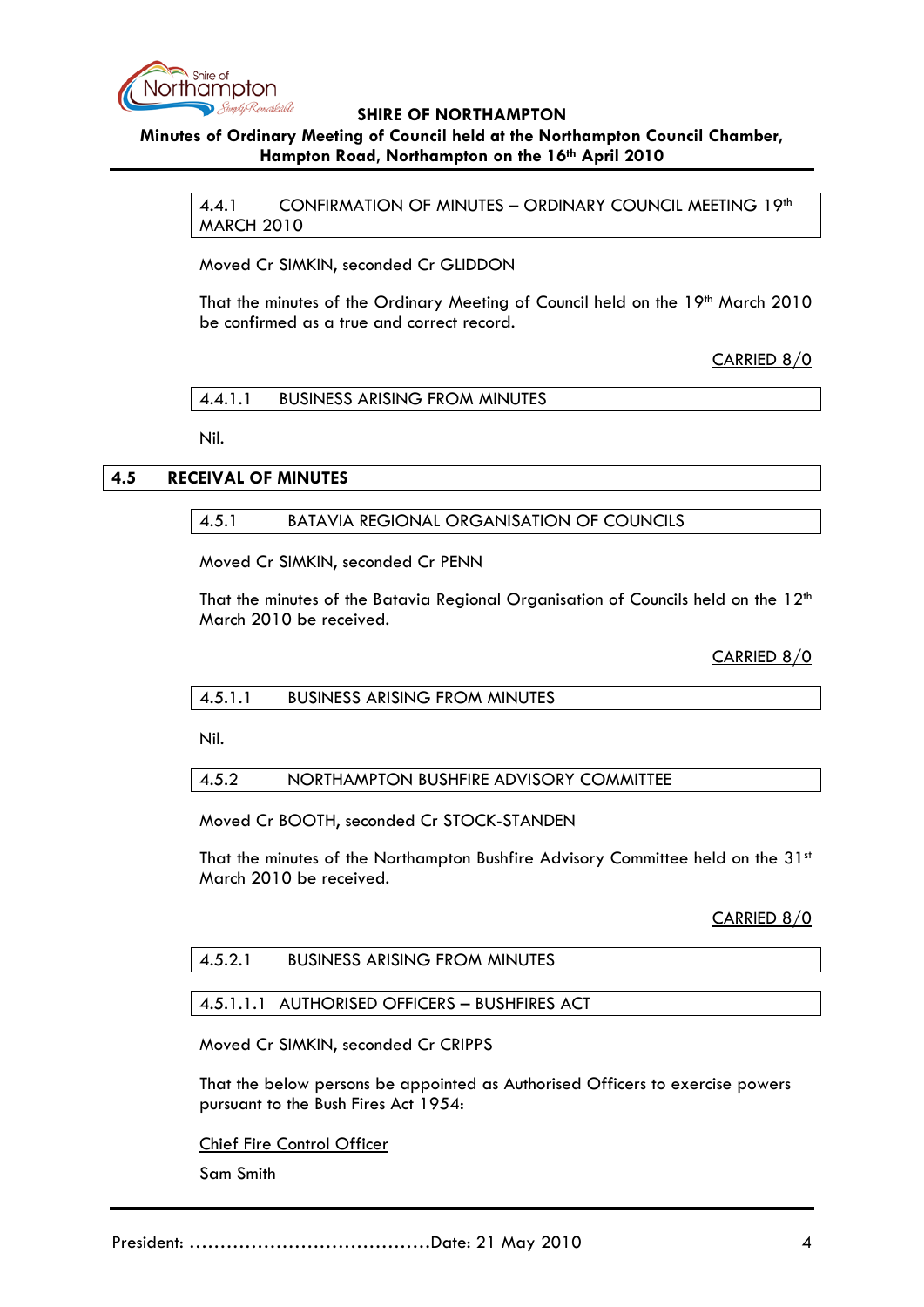

# <span id="page-3-0"></span>**Minutes of Ordinary Meeting of Council held at the Northampton Council Chamber, Hampton Road, Northampton on the 16th April 2010**

4.4.1 CONFIRMATION OF MINUTES – ORDINARY COUNCIL MEETING 19th MARCH 2010

Moved Cr SIMKIN, seconded Cr GLIDDON

That the minutes of the Ordinary Meeting of Council held on the 19th March 2010 be confirmed as a true and correct record.

CARRIED 8/0

4.4.1.1 BUSINESS ARISING FROM MINUTES

Nil.

### <span id="page-3-2"></span><span id="page-3-1"></span>**4.5 RECEIVAL OF MINUTES**

### 4.5.1 BATAVIA REGIONAL ORGANISATION OF COUNCILS

Moved Cr SIMKIN, seconded Cr PENN

That the minutes of the Batavia Regional Organisation of Councils held on the 12<sup>th</sup> March 2010 be received.

CARRIED 8/0

Nil.

#### 4.5.2 NORTHAMPTON BUSHFIRE ADVISORY COMMITTEE

Moved Cr BOOTH, seconded Cr STOCK-STANDEN

That the minutes of the Northampton Bushfire Advisory Committee held on the 31st March 2010 be received.

CARRIED 8/0

#### 4.5.2.1 BUSINESS ARISING FROM MINUTES

#### 4.5.1.1.1 AUTHORISED OFFICERS – BUSHFIRES ACT

Moved Cr SIMKIN, seconded Cr CRIPPS

That the below persons be appointed as Authorised Officers to exercise powers pursuant to the Bush Fires Act 1954:

Chief Fire Control Officer

Sam Smith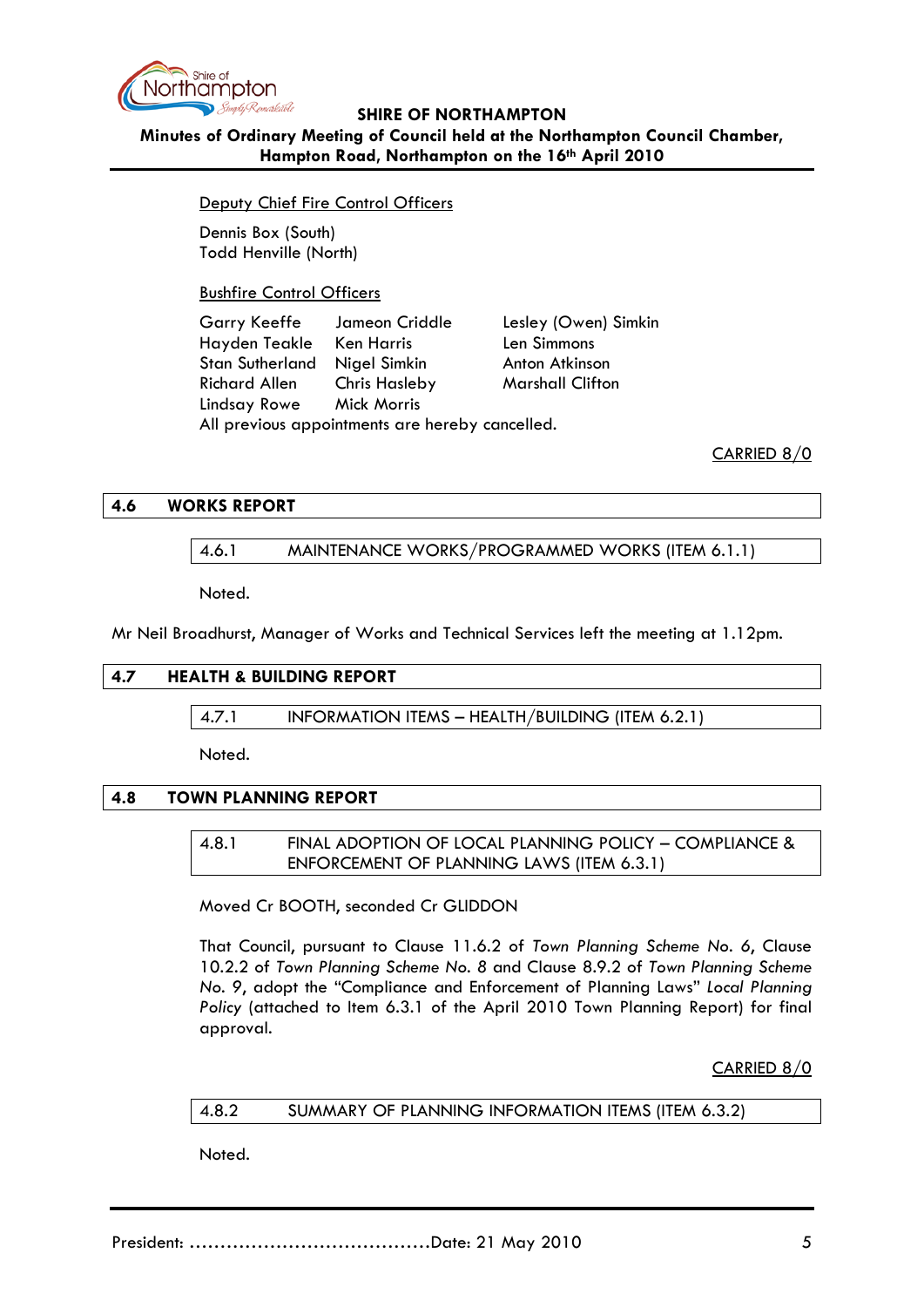

## **Minutes of Ordinary Meeting of Council held at the Northampton Council Chamber, Hampton Road, Northampton on the 16th April 2010**

Deputy Chief Fire Control Officers

Dennis Box (South) Todd Henville (North)

Bushfire Control Officers

Garry Keeffe Jameon Criddle Lesley (Owen) Simkin Hayden Teakle Ken Harris Len Simmons Stan Sutherland Nigel Simkin Anton Atkinson Richard Allen Chris Hasleby Marshall Clifton Lindsay Rowe Mick Morris All previous appointments are hereby cancelled.

CARRIED 8/0

### **4.6 WORKS REPORT**

### 4.6.1 MAINTENANCE WORKS/PROGRAMMED WORKS (ITEM 6.1.1)

Noted.

Mr Neil Broadhurst, Manager of Works and Technical Services left the meeting at 1.12pm.

### **4.7 HEALTH & BUILDING REPORT**

4.7.1 INFORMATION ITEMS – HEALTH/BUILDING (ITEM 6.2.1)

Noted.

### **4.8 TOWN PLANNING REPORT**

4.8.1 FINAL ADOPTION OF LOCAL PLANNING POLICY – COMPLIANCE & ENFORCEMENT OF PLANNING LAWS (ITEM 6.3.1)

Moved Cr BOOTH, seconded Cr GLIDDON

That Council, pursuant to Clause 11.6.2 of *Town Planning Scheme No. 6*, Clause 10.2.2 of *Town Planning Scheme No. 8* and Clause 8.9.2 of *Town Planning Scheme No. 9*, adopt the "Compliance and Enforcement of Planning Laws" *Local Planning Policy* (attached to Item 6.3.1 of the April 2010 Town Planning Report) for final approval.

CARRIED 8/0

#### 4.8.2 SUMMARY OF PLANNING INFORMATION ITEMS (ITEM 6.3.2)

Noted.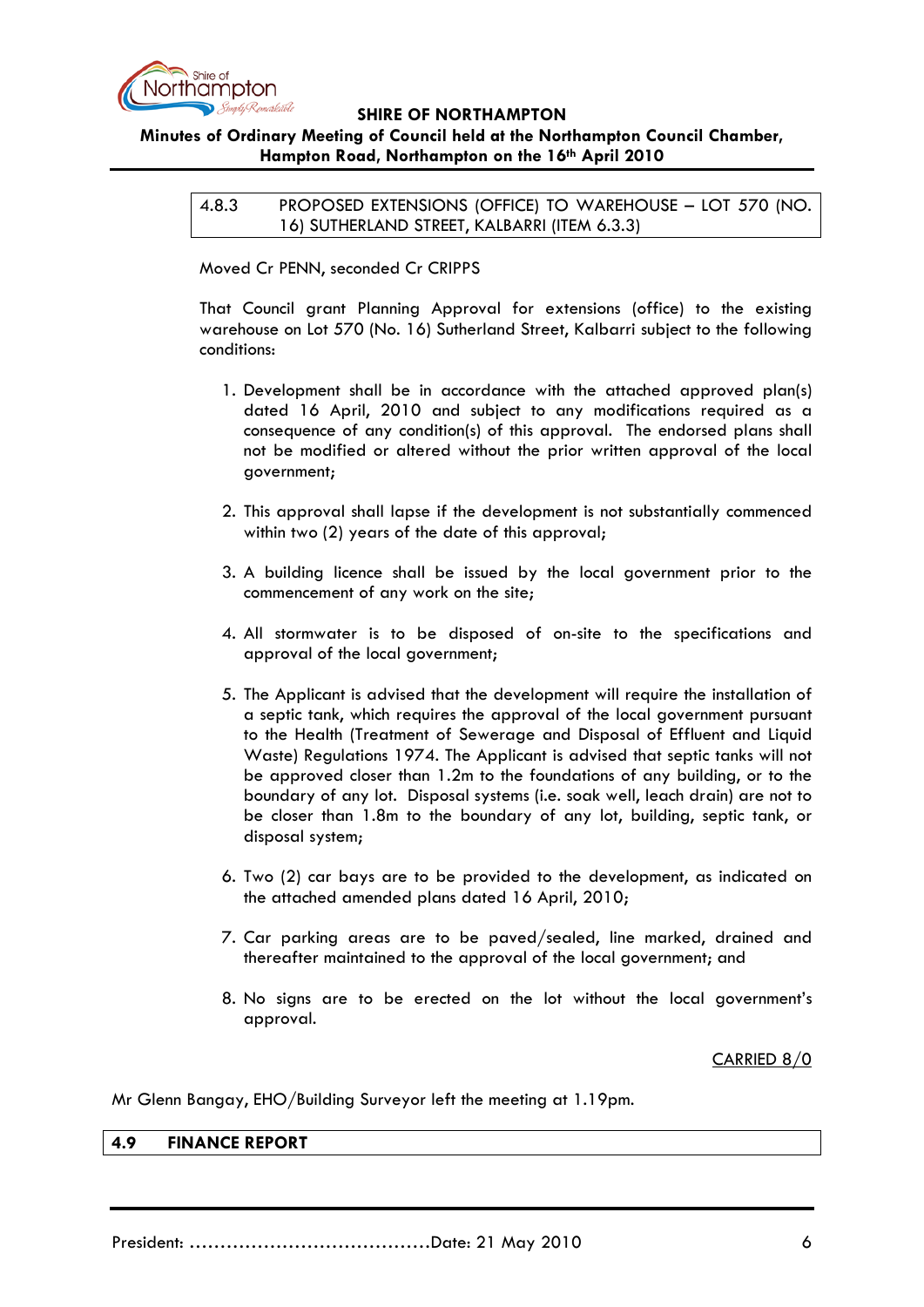

# **Minutes of Ordinary Meeting of Council held at the Northampton Council Chamber, Hampton Road, Northampton on the 16th April 2010**

4.8.3 PROPOSED EXTENSIONS (OFFICE) TO WAREHOUSE – LOT 570 (NO. 16) SUTHERLAND STREET, KALBARRI (ITEM 6.3.3)

Moved Cr PENN, seconded Cr CRIPPS

That Council grant Planning Approval for extensions (office) to the existing warehouse on Lot 570 (No. 16) Sutherland Street, Kalbarri subject to the following conditions:

- 1. Development shall be in accordance with the attached approved plan(s) dated 16 April, 2010 and subject to any modifications required as a consequence of any condition(s) of this approval. The endorsed plans shall not be modified or altered without the prior written approval of the local government;
- 2. This approval shall lapse if the development is not substantially commenced within two (2) years of the date of this approval;
- 3. A building licence shall be issued by the local government prior to the commencement of any work on the site;
- 4. All stormwater is to be disposed of on-site to the specifications and approval of the local government;
- 5. The Applicant is advised that the development will require the installation of a septic tank, which requires the approval of the local government pursuant to the Health (Treatment of Sewerage and Disposal of Effluent and Liquid Waste) Regulations 1974. The Applicant is advised that septic tanks will not be approved closer than 1.2m to the foundations of any building, or to the boundary of any lot. Disposal systems (i.e. soak well, leach drain) are not to be closer than 1.8m to the boundary of any lot, building, septic tank, or disposal system;
- 6. Two (2) car bays are to be provided to the development, as indicated on the attached amended plans dated 16 April, 2010;
- 7. Car parking areas are to be paved/sealed, line marked, drained and thereafter maintained to the approval of the local government; and
- 8. No signs are to be erected on the lot without the local government's approval.

### CARRIED 8/0

Mr Glenn Bangay, EHO/Building Surveyor left the meeting at 1.19pm.

#### **4.9 FINANCE REPORT**

President: …………………………………Date: 21 May 2010 6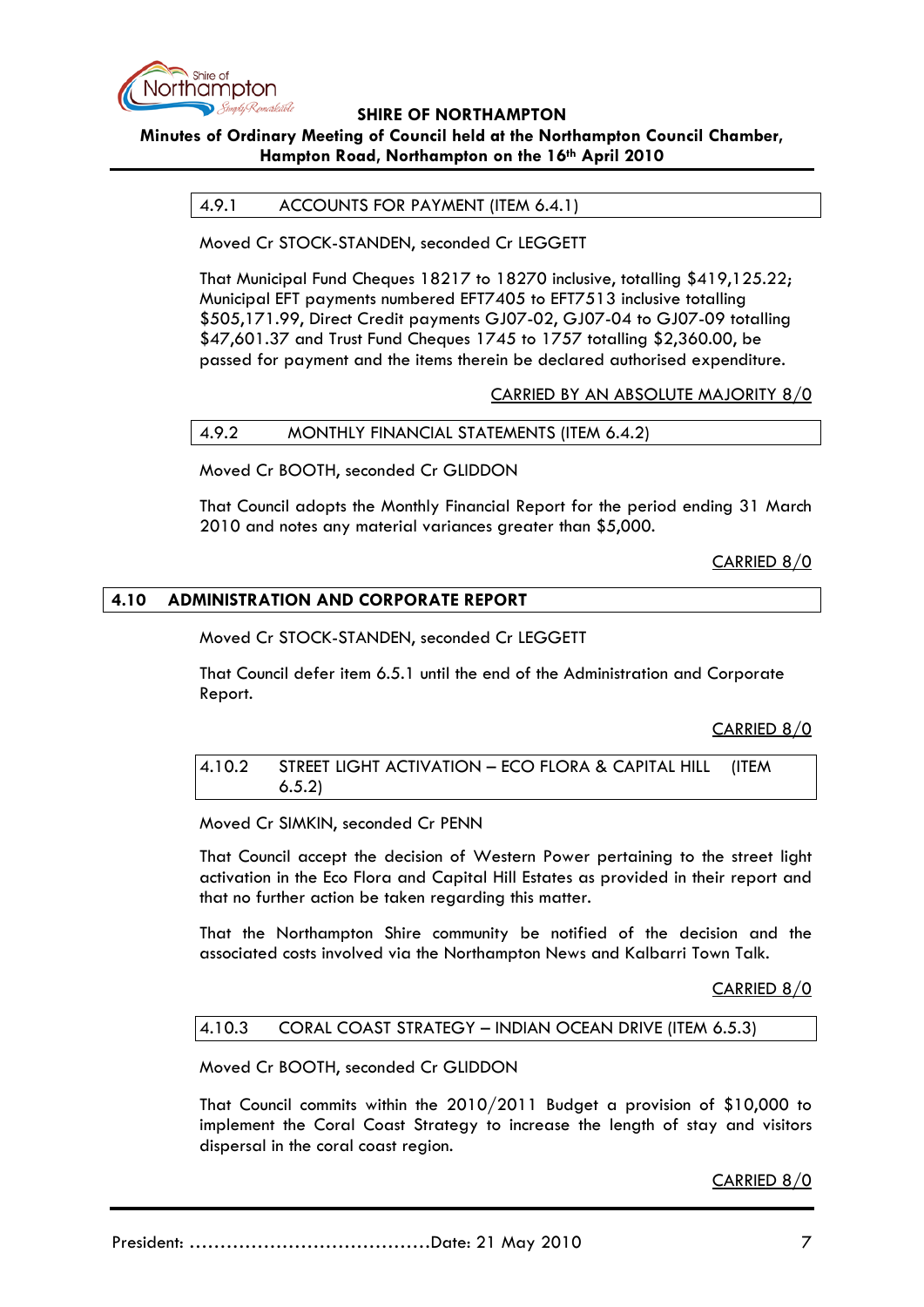

# **Minutes of Ordinary Meeting of Council held at the Northampton Council Chamber, Hampton Road, Northampton on the 16th April 2010**

### 4.9.1 ACCOUNTS FOR PAYMENT (ITEM 6.4.1)

Moved Cr STOCK-STANDEN, seconded Cr LEGGETT

That Municipal Fund Cheques 18217 to 18270 inclusive, totalling \$419,125.22; Municipal EFT payments numbered EFT7405 to EFT7513 inclusive totalling \$505,171.99, Direct Credit payments GJ07-02, GJ07-04 to GJ07-09 totalling \$47,601.37 and Trust Fund Cheques 1745 to 1757 totalling \$2,360.00, be passed for payment and the items therein be declared authorised expenditure.

CARRIED BY AN ABSOLUTE MAJORITY 8/0

#### 4.9.2 MONTHLY FINANCIAL STATEMENTS (ITEM 6.4.2)

Moved Cr BOOTH, seconded Cr GLIDDON

That Council adopts the Monthly Financial Report for the period ending 31 March 2010 and notes any material variances greater than \$5,000.

CARRIED 8/0

### **4.10 ADMINISTRATION AND CORPORATE REPORT**

Moved Cr STOCK-STANDEN, seconded Cr LEGGETT

That Council defer item 6.5.1 until the end of the Administration and Corporate Report.

CARRIED 8/0

4.10.2 STREET LIGHT ACTIVATION – ECO FLORA & CAPITAL HILL (ITEM 6.5.2)

Moved Cr SIMKIN, seconded Cr PENN

That Council accept the decision of Western Power pertaining to the street light activation in the Eco Flora and Capital Hill Estates as provided in their report and that no further action be taken regarding this matter.

That the Northampton Shire community be notified of the decision and the associated costs involved via the Northampton News and Kalbarri Town Talk.

#### CARRIED 8/0

#### 4.10.3 CORAL COAST STRATEGY – INDIAN OCEAN DRIVE (ITEM 6.5.3)

Moved Cr BOOTH, seconded Cr GLIDDON

That Council commits within the 2010/2011 Budget a provision of \$10,000 to implement the Coral Coast Strategy to increase the length of stay and visitors dispersal in the coral coast region.

CARRIED 8/0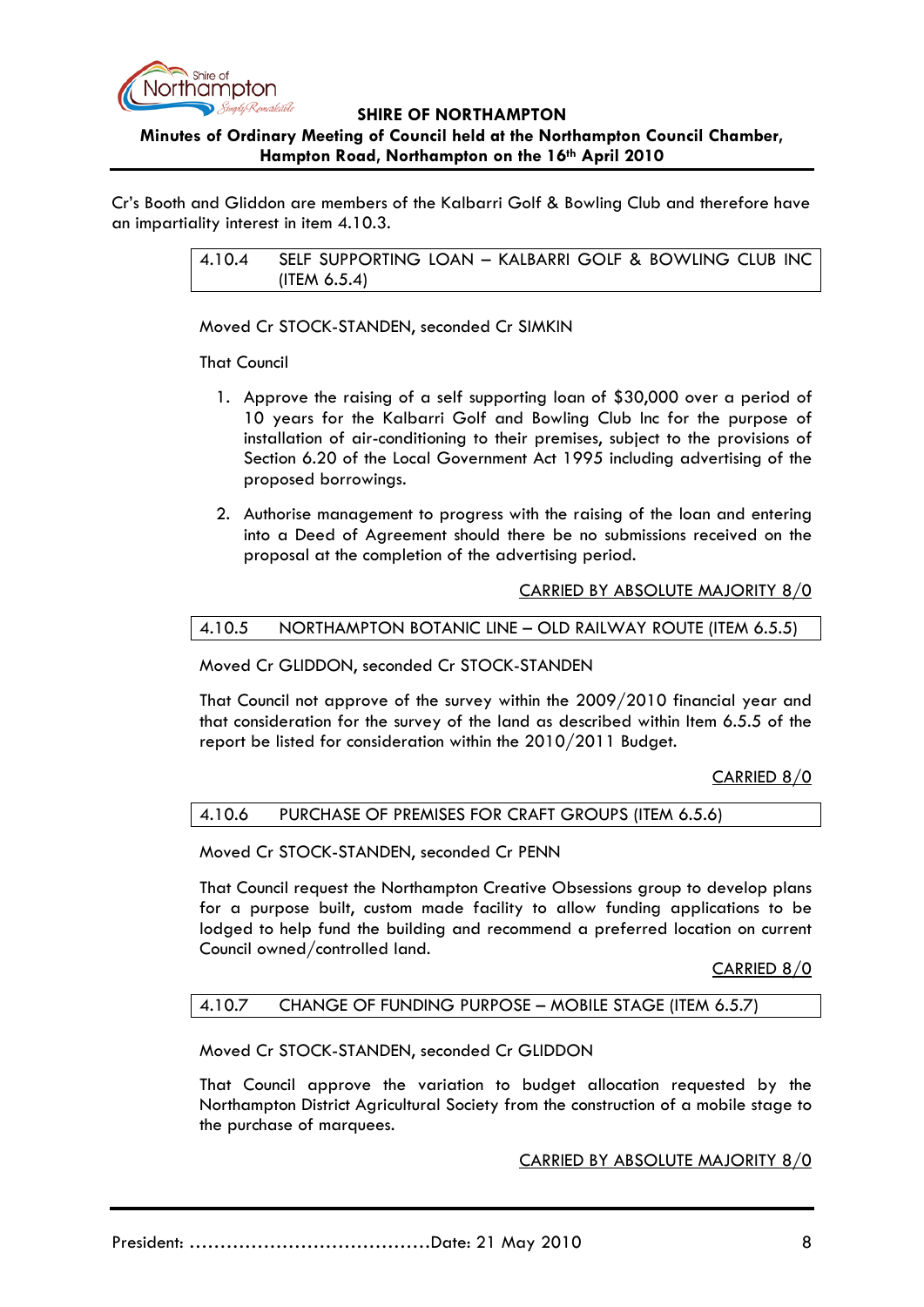

### **Minutes of Ordinary Meeting of Council held at the Northampton Council Chamber, Hampton Road, Northampton on the 16th April 2010**

Cr's Booth and Gliddon are members of the Kalbarri Golf & Bowling Club and therefore have an impartiality interest in item 4.10.3.

> 4.10.4 SELF SUPPORTING LOAN – KALBARRI GOLF & BOWLING CLUB INC (ITEM 6.5.4)

Moved Cr STOCK-STANDEN, seconded Cr SIMKIN

That Council

- 1. Approve the raising of a self supporting loan of \$30,000 over a period of 10 years for the Kalbarri Golf and Bowling Club Inc for the purpose of installation of air-conditioning to their premises, subject to the provisions of Section 6.20 of the Local Government Act 1995 including advertising of the proposed borrowings.
- 2. Authorise management to progress with the raising of the loan and entering into a Deed of Agreement should there be no submissions received on the proposal at the completion of the advertising period.

CARRIED BY ABSOLUTE MAJORITY 8/0

#### 4.10.5 NORTHAMPTON BOTANIC LINE – OLD RAILWAY ROUTE (ITEM 6.5.5)

Moved Cr GLIDDON, seconded Cr STOCK-STANDEN

That Council not approve of the survey within the 2009/2010 financial year and that consideration for the survey of the land as described within Item 6.5.5 of the report be listed for consideration within the 2010/2011 Budget.

CARRIED 8/0

#### 4.10.6 PURCHASE OF PREMISES FOR CRAFT GROUPS (ITEM 6.5.6)

Moved Cr STOCK-STANDEN, seconded Cr PENN

That Council request the Northampton Creative Obsessions group to develop plans for a purpose built, custom made facility to allow funding applications to be lodged to help fund the building and recommend a preferred location on current Council owned/controlled land.

CARRIED 8/0

#### 4.10.7 CHANGE OF FUNDING PURPOSE – MOBILE STAGE (ITEM 6.5.7)

Moved Cr STOCK-STANDEN, seconded Cr GLIDDON

That Council approve the variation to budget allocation requested by the Northampton District Agricultural Society from the construction of a mobile stage to the purchase of marquees.

#### CARRIED BY ABSOLUTE MAJORITY 8/0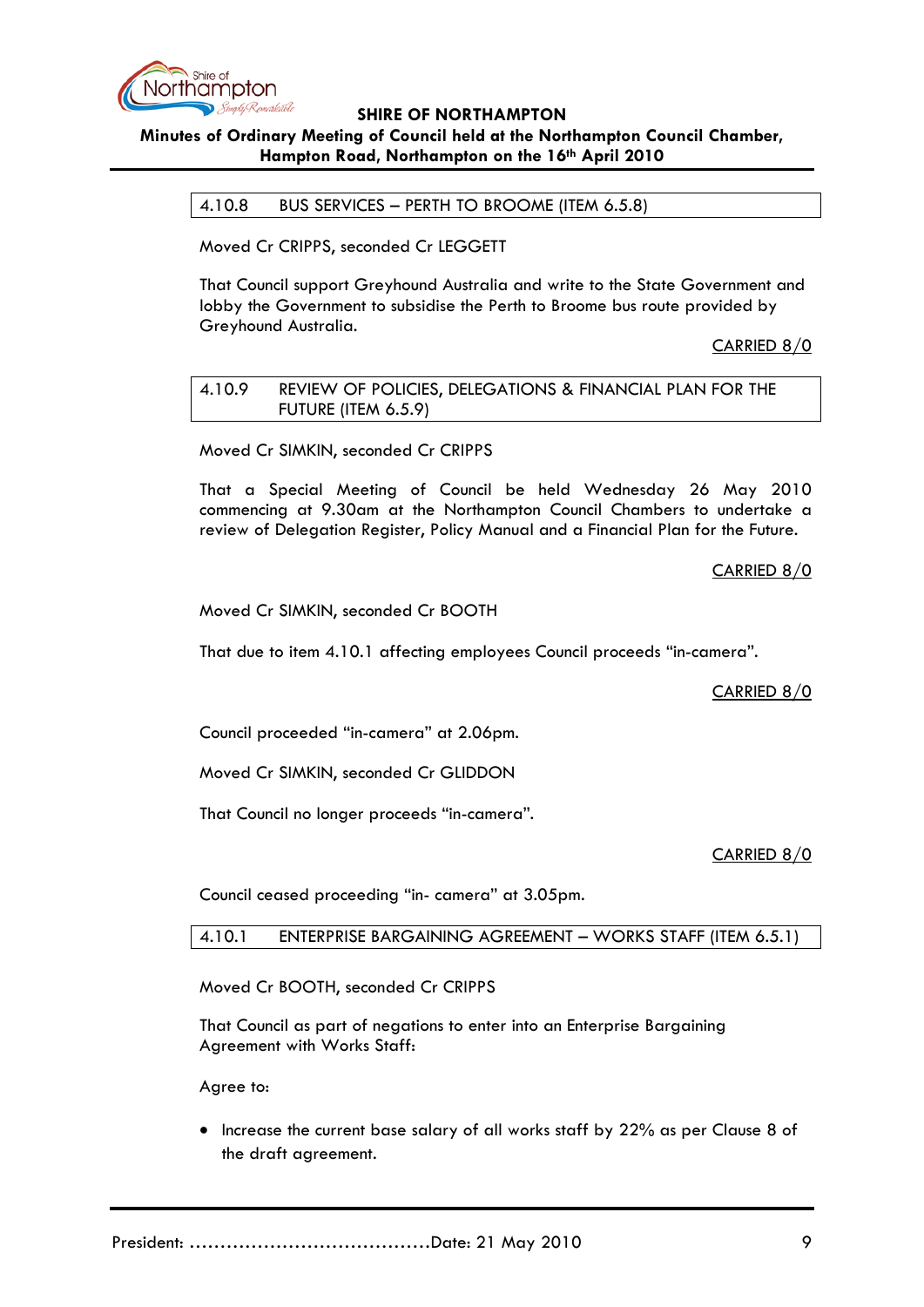

## **Minutes of Ordinary Meeting of Council held at the Northampton Council Chamber, Hampton Road, Northampton on the 16th April 2010**

4.10.8 BUS SERVICES – PERTH TO BROOME (ITEM 6.5.8)

Moved Cr CRIPPS, seconded Cr LEGGETT

That Council support Greyhound Australia and write to the State Government and lobby the Government to subsidise the Perth to Broome bus route provided by Greyhound Australia.

CARRIED 8/0

4.10.9 REVIEW OF POLICIES, DELEGATIONS & FINANCIAL PLAN FOR THE FUTURE (ITEM 6.5.9)

Moved Cr SIMKIN, seconded Cr CRIPPS

That a Special Meeting of Council be held Wednesday 26 May 2010 commencing at 9.30am at the Northampton Council Chambers to undertake a review of Delegation Register, Policy Manual and a Financial Plan for the Future.

CARRIED 8/0

Moved Cr SIMKIN, seconded Cr BOOTH

That due to item 4.10.1 affecting employees Council proceeds "in-camera".

CARRIED 8/0

Council proceeded "in-camera" at 2.06pm.

Moved Cr SIMKIN, seconded Cr GLIDDON

That Council no longer proceeds "in-camera".

CARRIED 8/0

Council ceased proceeding "in- camera" at 3.05pm.

4.10.1 ENTERPRISE BARGAINING AGREEMENT – WORKS STAFF (ITEM 6.5.1)

Moved Cr BOOTH, seconded Cr CRIPPS

That Council as part of negations to enter into an Enterprise Bargaining Agreement with Works Staff:

Agree to:

• Increase the current base salary of all works staff by 22% as per Clause 8 of the draft agreement.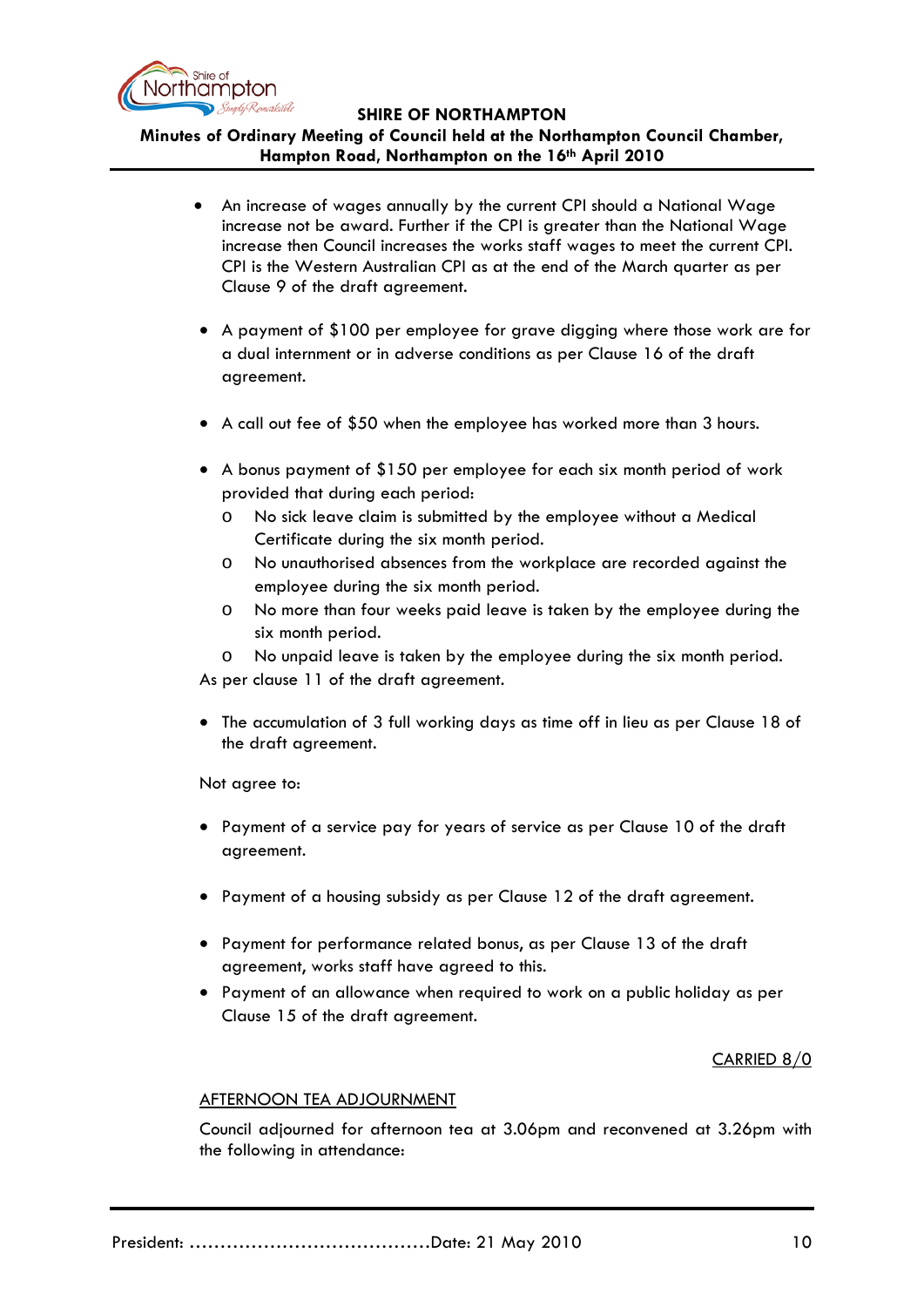

## **Minutes of Ordinary Meeting of Council held at the Northampton Council Chamber, Hampton Road, Northampton on the 16th April 2010**

- An increase of wages annually by the current CPI should a National Wage increase not be award. Further if the CPI is greater than the National Wage increase then Council increases the works staff wages to meet the current CPI. CPI is the Western Australian CPI as at the end of the March quarter as per Clause 9 of the draft agreement.
- A payment of \$100 per employee for grave digging where those work are for a dual internment or in adverse conditions as per Clause 16 of the draft agreement.
- A call out fee of \$50 when the employee has worked more than 3 hours.
- A bonus payment of \$150 per employee for each six month period of work provided that during each period:
	- o No sick leave claim is submitted by the employee without a Medical Certificate during the six month period.
	- o No unauthorised absences from the workplace are recorded against the employee during the six month period.
	- o No more than four weeks paid leave is taken by the employee during the six month period.
	- o No unpaid leave is taken by the employee during the six month period.

As per clause 11 of the draft agreement.

• The accumulation of 3 full working days as time off in lieu as per Clause 18 of the draft agreement.

Not agree to:

- Payment of a service pay for years of service as per Clause 10 of the draft agreement.
- Payment of a housing subsidy as per Clause 12 of the draft agreement.
- Payment for performance related bonus, as per Clause 13 of the draft agreement, works staff have agreed to this.
- Payment of an allowance when required to work on a public holiday as per Clause 15 of the draft agreement.

### CARRIED 8/0

#### AFTERNOON TEA ADJOURNMENT

Council adjourned for afternoon tea at 3.06pm and reconvened at 3.26pm with the following in attendance: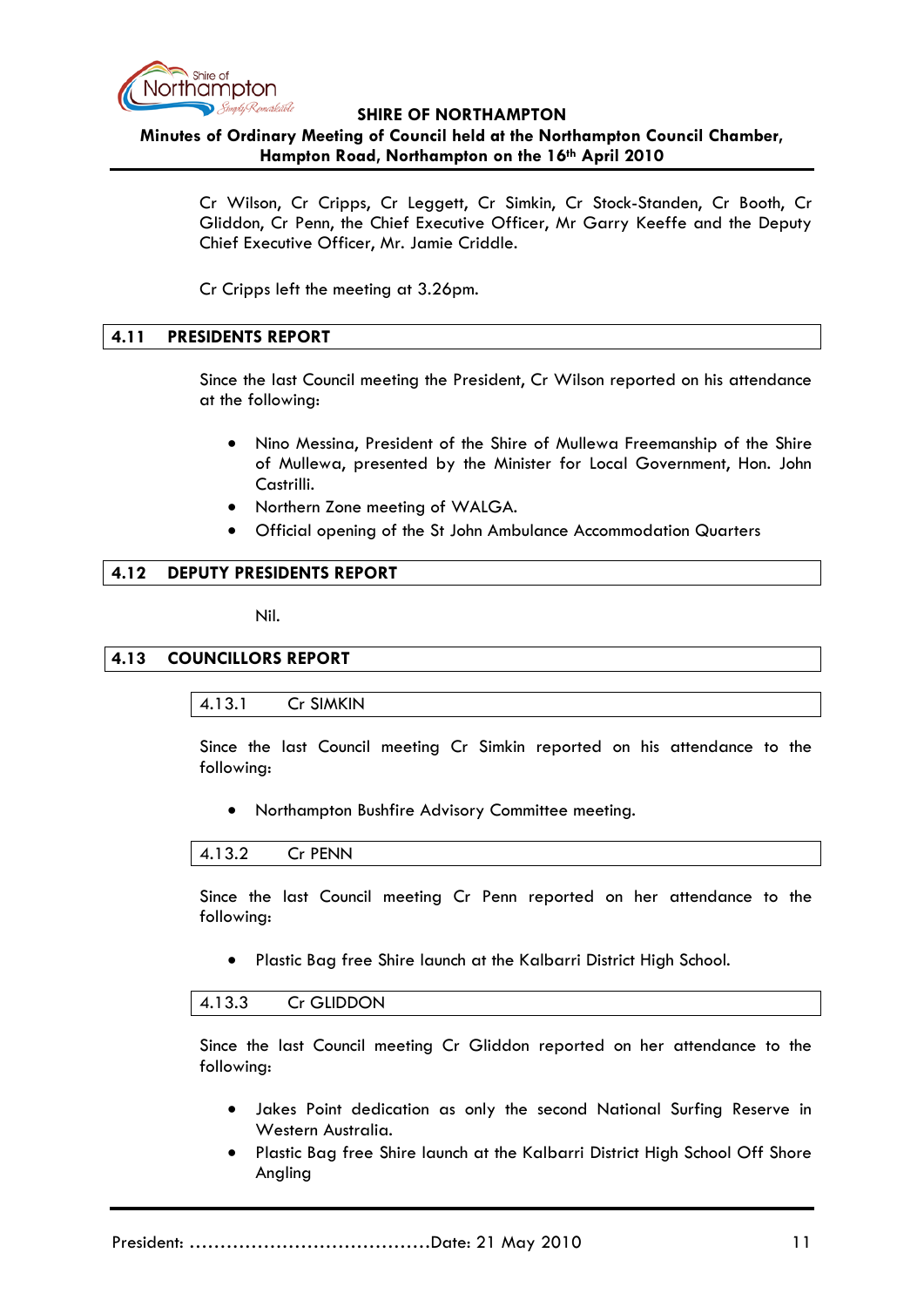

### **Minutes of Ordinary Meeting of Council held at the Northampton Council Chamber, Hampton Road, Northampton on the 16th April 2010**

Cr Wilson, Cr Cripps, Cr Leggett, Cr Simkin, Cr Stock-Standen, Cr Booth, Cr Gliddon, Cr Penn, the Chief Executive Officer, Mr Garry Keeffe and the Deputy Chief Executive Officer, Mr. Jamie Criddle.

Cr Cripps left the meeting at 3.26pm.

### **4.11 PRESIDENTS REPORT**

Since the last Council meeting the President, Cr Wilson reported on his attendance at the following:

- Nino Messina, President of the Shire of Mullewa Freemanship of the Shire of Mullewa, presented by the Minister for Local Government, Hon. John Castrilli.
- Northern Zone meeting of WALGA.
- Official opening of the St John Ambulance Accommodation Quarters

### **4.12 DEPUTY PRESIDENTS REPORT**

Nil.

#### **4.13 COUNCILLORS REPORT**

### 4.13.1 Cr SIMKIN

Since the last Council meeting Cr Simkin reported on his attendance to the following:

• Northampton Bushfire Advisory Committee meeting.

#### 4.13.2 Cr PENN

Since the last Council meeting Cr Penn reported on her attendance to the following:

• Plastic Bag free Shire launch at the Kalbarri District High School.

#### 4.13.3 Cr GLIDDON

Since the last Council meeting Cr Gliddon reported on her attendance to the following:

- Jakes Point dedication as only the second National Surfing Reserve in Western Australia.
- Plastic Bag free Shire launch at the Kalbarri District High School Off Shore Angling